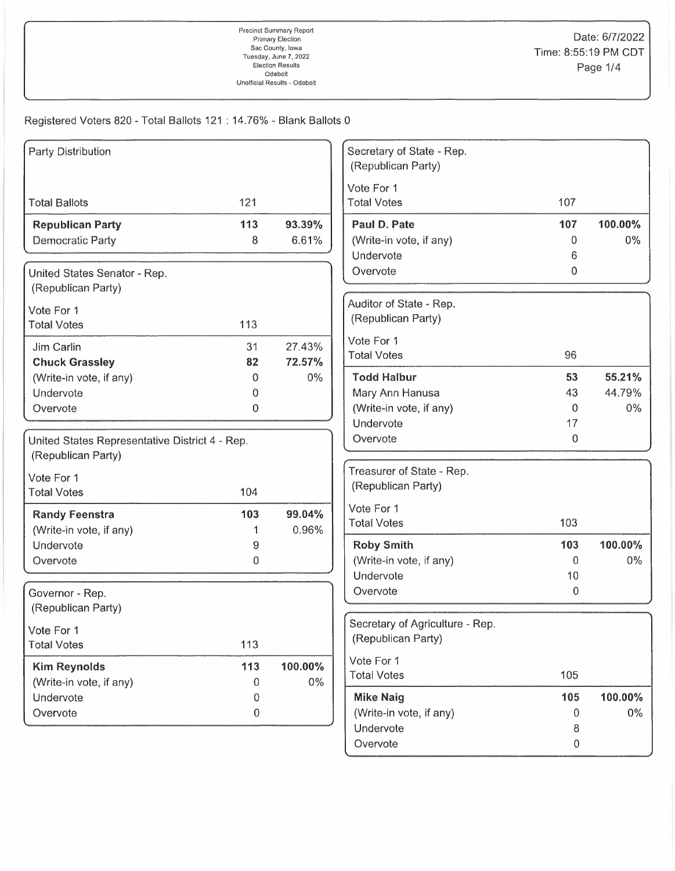| Party Distribution                               |     |         | Secretary of State - Rep.<br>(Republican Party) |              |         |
|--------------------------------------------------|-----|---------|-------------------------------------------------|--------------|---------|
|                                                  |     |         | Vote For 1                                      |              |         |
| <b>Total Ballots</b>                             | 121 |         | <b>Total Votes</b>                              | 107          |         |
| <b>Republican Party</b>                          | 113 | 93.39%  | Paul D. Pate                                    | 107          | 100.00% |
| Democratic Party                                 | 8   | 6.61%   | (Write-in vote, if any)                         | 0            | $0\%$   |
|                                                  |     |         | Undervote                                       | 6            |         |
| United States Senator - Rep.                     |     |         | Overvote                                        | 0            |         |
| (Republican Party)                               |     |         |                                                 |              |         |
| Vote For 1                                       |     |         | Auditor of State - Rep.                         |              |         |
| <b>Total Votes</b>                               | 113 |         | (Republican Party)                              |              |         |
| Jim Carlin                                       | 31  | 27.43%  | Vote For 1                                      |              |         |
| <b>Chuck Grassley</b>                            | 82  | 72.57%  | <b>Total Votes</b>                              | 96           |         |
| (Write-in vote, if any)                          | 0   | $0\%$   | <b>Todd Halbur</b>                              | 53           | 55.21%  |
| Undervote                                        | 0   |         | Mary Ann Hanusa                                 | 43           | 44.79%  |
| Overvote                                         | 0   |         | (Write-in vote, if any)                         | $\Omega$     | $0\%$   |
|                                                  |     |         | Undervote                                       | 17           |         |
| United States Representative District 4 - Rep.   |     |         | Overvote                                        | 0            |         |
| (Republican Party)                               |     |         |                                                 |              |         |
| Vote For 1                                       |     |         | Treasurer of State - Rep.                       |              |         |
| <b>Total Votes</b>                               | 104 |         | (Republican Party)                              |              |         |
|                                                  | 103 | 99.04%  | Vote For 1                                      |              |         |
| <b>Randy Feenstra</b><br>(Write-in vote, if any) | 1   | 0.96%   | <b>Total Votes</b>                              | 103          |         |
| Undervote                                        | 9   |         | <b>Roby Smith</b>                               | 103          | 100.00% |
| Overvote                                         | 0   |         | (Write-in vote, if any)                         | 0            | $0\%$   |
|                                                  |     |         | Undervote                                       | 10           |         |
| Governor - Rep.                                  |     |         | Overvote                                        | 0            |         |
| (Republican Party)                               |     |         |                                                 |              |         |
|                                                  |     |         | Secretary of Agriculture - Rep.                 |              |         |
| Vote For 1<br><b>Total Votes</b>                 | 113 |         | (Republican Party)                              |              |         |
|                                                  |     |         | Vote For 1                                      |              |         |
| <b>Kim Reynolds</b>                              | 113 | 100.00% | <b>Total Votes</b>                              | 105          |         |
| (Write-in vote, if any)                          | 0   | $0\%$   |                                                 |              |         |
| Undervote                                        | 0   |         | <b>Mike Naig</b>                                | 105          | 100.00% |
| Overvote                                         | 0   |         | (Write-in vote, if any)<br>Undervote            | 0            | $0\%$   |
|                                                  |     |         | Overvote                                        | 8<br>$\,0\,$ |         |
|                                                  |     |         |                                                 |              |         |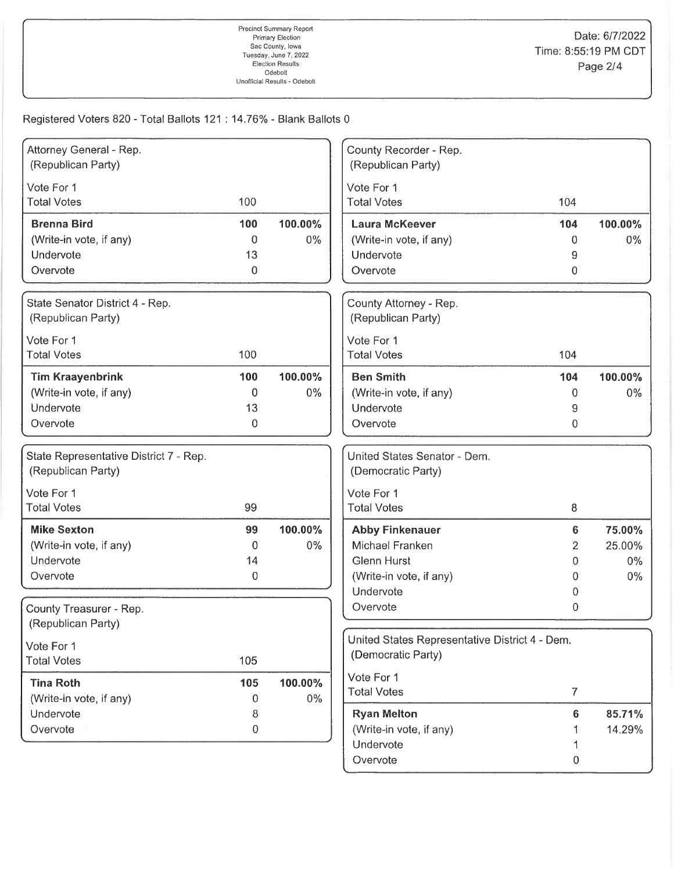| Attorney General - Rep.                               |                  |         | County Recorder - Rep.                         |                |         |
|-------------------------------------------------------|------------------|---------|------------------------------------------------|----------------|---------|
| (Republican Party)                                    |                  |         | (Republican Party)                             |                |         |
| Vote For 1                                            |                  |         | Vote For 1                                     |                |         |
| <b>Total Votes</b>                                    | 100              |         | <b>Total Votes</b>                             | 104            |         |
| <b>Brenna Bird</b>                                    | 100              | 100.00% | <b>Laura McKeever</b>                          | 104            | 100.00% |
| (Write-in vote, if any)                               | 0                | 0%      | (Write-in vote, if any)                        | $\Omega$       | $0\%$   |
| Undervote                                             | 13               |         | Undervote                                      | 9              |         |
| Overvote                                              | 0                |         | Overvote                                       | $\overline{0}$ |         |
|                                                       |                  |         |                                                |                |         |
| State Senator District 4 - Rep.<br>(Republican Party) |                  |         | County Attorney - Rep.<br>(Republican Party)   |                |         |
|                                                       |                  |         |                                                |                |         |
| Vote For 1<br><b>Total Votes</b>                      | 100              |         | Vote For 1<br><b>Total Votes</b>               | 104            |         |
|                                                       |                  |         |                                                |                |         |
| <b>Tim Kraayenbrink</b>                               | 100              | 100.00% | <b>Ben Smith</b>                               | 104            | 100.00% |
| (Write-in vote, if any)                               | 0                | $0\%$   | (Write-in vote, if any)                        | 0              | $0\%$   |
| Undervote                                             | 13               |         | Undervote                                      | 9              |         |
| Overvote                                              | $\mathbf 0$      |         | Overvote                                       | $\overline{0}$ |         |
| State Representative District 7 - Rep.                |                  |         | United States Senator - Dem.                   |                |         |
| (Republican Party)                                    |                  |         | (Democratic Party)                             |                |         |
| Vote For 1                                            |                  |         | Vote For 1                                     |                |         |
| <b>Total Votes</b>                                    | 99               |         | <b>Total Votes</b>                             | 8              |         |
| <b>Mike Sexton</b>                                    | 99               | 100.00% | <b>Abby Finkenauer</b>                         | 6              | 75.00%  |
| (Write-in vote, if any)                               | 0                | 0%      | Michael Franken                                | 2              | 25.00%  |
| Undervote                                             | 14               |         | <b>Glenn Hurst</b>                             | 0              | $0\%$   |
| Overvote                                              | $\boldsymbol{0}$ |         | (Write-in vote, if any)                        | 0              | $0\%$   |
|                                                       |                  |         | Undervote                                      | 0              |         |
| County Treasurer - Rep.                               |                  |         | Overvote                                       | 0              |         |
| (Republican Party)                                    |                  |         |                                                |                |         |
|                                                       |                  |         | United States Representative District 4 - Dem. |                |         |
| Vote For 1                                            |                  |         | (Democratic Party)                             |                |         |
| <b>Total Votes</b>                                    | 105              |         |                                                |                |         |
| <b>Tina Roth</b>                                      | 105              | 100.00% | Vote For 1<br><b>Total Votes</b>               | $\overline{7}$ |         |
| (Write-in vote, if any)                               | 0                | $0\%$   |                                                |                |         |
| Undervote                                             | 8                |         | <b>Ryan Melton</b>                             | 6              | 85.71%  |
| Overvote                                              | 0                |         | (Write-in vote, if any)                        |                | 14.29%  |
|                                                       |                  |         | Undervote                                      |                |         |
|                                                       |                  |         | Overvote                                       | 0              |         |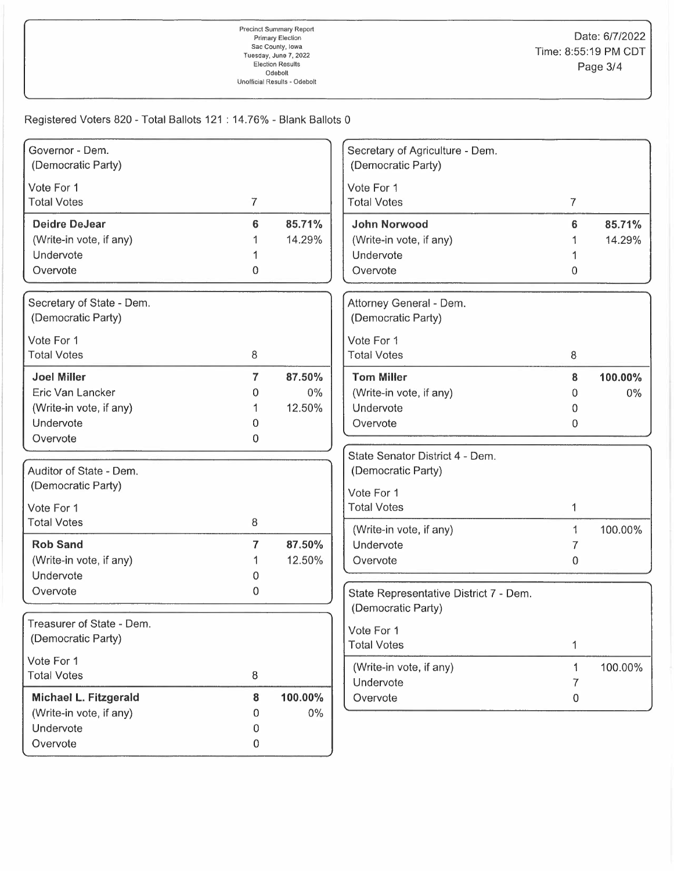| Governor - Dem.<br>(Democratic Party)           |                |         | Secretary of Agriculture - Dem.<br>(Democratic Party) |                |         |
|-------------------------------------------------|----------------|---------|-------------------------------------------------------|----------------|---------|
|                                                 |                |         |                                                       |                |         |
| Vote For 1                                      |                |         | Vote For 1                                            |                |         |
| <b>Total Votes</b>                              | $\overline{7}$ |         | <b>Total Votes</b>                                    | $\overline{7}$ |         |
| <b>Deidre DeJear</b>                            | 6              | 85.71%  | John Norwood                                          | 6              | 85.71%  |
| (Write-in vote, if any)                         | 1              | 14.29%  | (Write-in vote, if any)                               |                | 14.29%  |
| Undervote                                       |                |         | Undervote                                             |                |         |
| Overvote                                        | 0              |         | Overvote                                              | 0              |         |
| Secretary of State - Dem.                       |                |         | Attorney General - Dem.                               |                |         |
| (Democratic Party)                              |                |         | (Democratic Party)                                    |                |         |
| Vote For 1                                      |                |         | Vote For 1                                            |                |         |
| <b>Total Votes</b>                              | 8              |         | <b>Total Votes</b>                                    | 8              |         |
| <b>Joel Miller</b>                              | 7              | 87.50%  | <b>Tom Miller</b>                                     | 8              | 100.00% |
| Eric Van Lancker                                | 0              | $0\%$   | (Write-in vote, if any)                               | 0              | $0\%$   |
| (Write-in vote, if any)                         | 1              | 12.50%  | Undervote                                             | 0              |         |
| Undervote                                       | 0              |         | Overvote                                              | 0              |         |
| Overvote                                        | 0              |         |                                                       |                |         |
|                                                 |                |         | State Senator District 4 - Dem.                       |                |         |
| Auditor of State - Dem.                         |                |         | (Democratic Party)                                    |                |         |
| (Democratic Party)                              |                |         | Vote For 1                                            |                |         |
| Vote For 1                                      |                |         | <b>Total Votes</b>                                    | 1              |         |
| <b>Total Votes</b>                              | 8              |         |                                                       |                |         |
|                                                 |                |         | (Write-in vote, if any)                               | 1              | 100.00% |
| <b>Rob Sand</b>                                 | $\overline{7}$ | 87.50%  | Undervote                                             | 7              |         |
| (Write-in vote, if any)<br>Undervote            |                | 12.50%  | Overvote                                              | $\mathbf 0$    |         |
|                                                 | 0              |         |                                                       |                |         |
| Overvote                                        | 0              |         | State Representative District 7 - Dem.                |                |         |
|                                                 |                |         | (Democratic Party)                                    |                |         |
| Treasurer of State - Dem.<br>(Democratic Party) |                |         | Vote For 1                                            |                |         |
|                                                 |                |         | <b>Total Votes</b>                                    | 1              |         |
| Vote For 1                                      |                |         | (Write-in vote, if any)                               | 1              | 100.00% |
| <b>Total Votes</b>                              | 8              |         | Undervote                                             | 7              |         |
| Michael L. Fitzgerald                           | 8              | 100.00% | Overvote                                              | 0              |         |
| (Write-in vote, if any)                         | 0              | $0\%$   |                                                       |                |         |
| Undervote                                       | 0              |         |                                                       |                |         |
| Overvote                                        | 0              |         |                                                       |                |         |